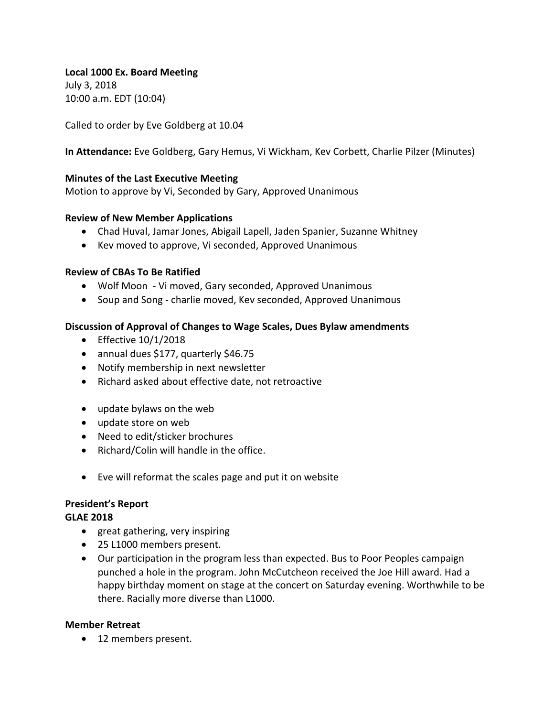Local 1000 Ex. Board Meeting July 3, 2018 10:00 a.m. EDT (10:04)

Called to order by Eve Goldberg at 10.04

**In Attendance:** Eve Goldberg, Gary Hemus, Vi Wickham, Kev Corbett, Charlie Pilzer (Minutes)

## **Minutes of the Last Executive Meeting**

Motion to approve by Vi, Seconded by Gary, Approved Unanimous

## **Review of New Member Applications**

- Chad Huval, Jamar Jones, Abigail Lapell, Jaden Spanier, Suzanne Whitney
- Kev moved to approve, Vi seconded, Approved Unanimous

## **Review of CBAs To Be Ratified**

- Wolf Moon Vi moved, Gary seconded, Approved Unanimous
- Soup and Song charlie moved, Kev seconded, Approved Unanimous

## **Discussion of Approval of Changes to Wage Scales, Dues Bylaw amendments**

- Effective  $10/1/2018$
- annual dues \$177, quarterly \$46.75
- Notify membership in next newsletter
- Richard asked about effective date, not retroactive
- $\bullet$  update bylaws on the web
- update store on web
- Need to edit/sticker brochures
- $\bullet$  Richard/Colin will handle in the office.
- Eve will reformat the scales page and put it on website

## **President's Report**

#### **GLAE 2018**

- great gathering, very inspiring
- 25 L1000 members present.
- Our participation in the program less than expected. Bus to Poor Peoples campaign punched a hole in the program. John McCutcheon received the Joe Hill award. Had a happy birthday moment on stage at the concert on Saturday evening. Worthwhile to be there. Racially more diverse than L1000.

#### **Member Retreat**

• 12 members present.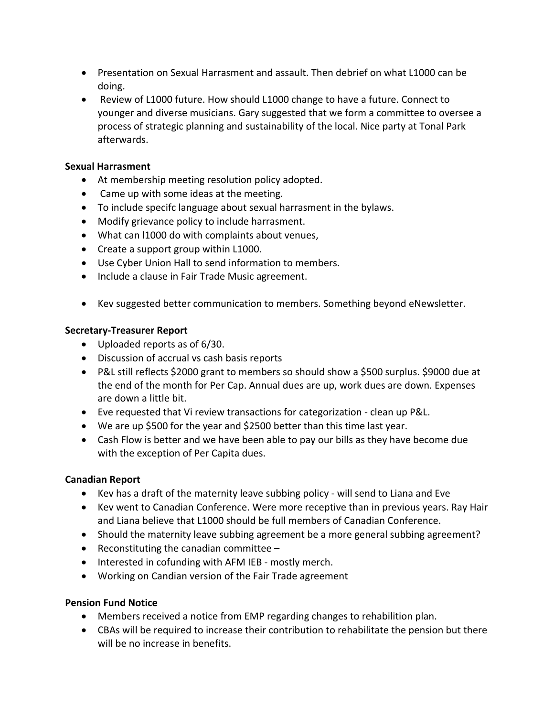- Presentation on Sexual Harrasment and assault. Then debrief on what L1000 can be doing.
- Review of L1000 future. How should L1000 change to have a future. Connect to younger and diverse musicians. Gary suggested that we form a committee to oversee a process of strategic planning and sustainability of the local. Nice party at Tonal Park afterwards.

## **Sexual Harrasment**

- At membership meeting resolution policy adopted.
- Came up with some ideas at the meeting.
- To include specifc language about sexual harrasment in the bylaws.
- Modify grievance policy to include harrasment.
- What can I1000 do with complaints about venues,
- Create a support group within L1000.
- Use Cyber Union Hall to send information to members.
- Include a clause in Fair Trade Music agreement.
- Kev suggested better communication to members. Something beyond eNewsletter.

## **Secretary-Treasurer Report**

- Uploaded reports as of 6/30.
- Discussion of accrual vs cash basis reports
- P&L still reflects \$2000 grant to members so should show a \$500 surplus. \$9000 due at the end of the month for Per Cap. Annual dues are up, work dues are down. Expenses are down a little bit.
- Eve requested that Vi review transactions for categorization clean up P&L.
- We are up \$500 for the year and \$2500 better than this time last year.
- Cash Flow is better and we have been able to pay our bills as they have become due with the exception of Per Capita dues.

# **Canadian Report**

- Kev has a draft of the maternity leave subbing policy will send to Liana and Eve
- Key went to Canadian Conference. Were more receptive than in previous years. Ray Hair and Liana believe that L1000 should be full members of Canadian Conference.
- Should the maternity leave subbing agreement be a more general subbing agreement?
- Reconstituting the canadian committee  $-$
- Interested in cofunding with AFM IEB mostly merch.
- Working on Candian version of the Fair Trade agreement

# **Pension Fund Notice**

- Members received a notice from EMP regarding changes to rehabilition plan.
- CBAs will be required to increase their contribution to rehabilitate the pension but there will be no increase in benefits.